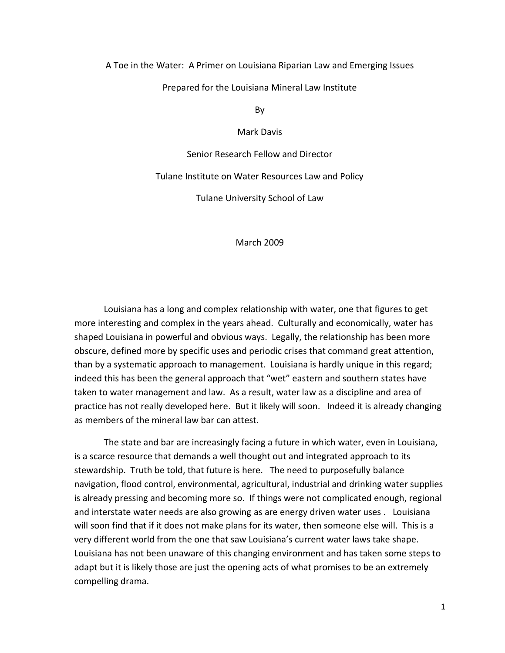## A Toe in the Water: A Primer on Louisiana Riparian Law and Emerging Issues

Prepared for the Louisiana Mineral Law Institute

By

Mark Davis

Senior Research Fellow and Director

Tulane Institute on Water Resources Law and Policy

Tulane University School of Law

March 2009

Louisiana has a long and complex relationship with water, one that figures to get more interesting and complex in the years ahead. Culturally and economically, water has shaped Louisiana in powerful and obvious ways. Legally, the relationship has been more obscure, defined more by specific uses and periodic crises that command great attention, than by a systematic approach to management. Louisiana is hardly unique in this regard; indeed this has been the general approach that "wet" eastern and southern states have taken to water management and law. As a result, water law as a discipline and area of practice has not really developed here. But it likely will soon. Indeed it is already changing as members of the mineral law bar can attest.

The state and bar are increasingly facing a future in which water, even in Louisiana, is a scarce resource that demands a well thought out and integrated approach to its stewardship. Truth be told, that future is here. The need to purposefully balance navigation, flood control, environmental, agricultural, industrial and drinking water supplies is already pressing and becoming more so. If things were not complicated enough, regional and interstate water needs are also growing as are energy driven water uses . Louisiana will soon find that if it does not make plans for its water, then someone else will. This is a very different world from the one that saw Louisiana's current water laws take shape. Louisiana has not been unaware of this changing environment and has taken some steps to adapt but it is likely those are just the opening acts of what promises to be an extremely compelling drama.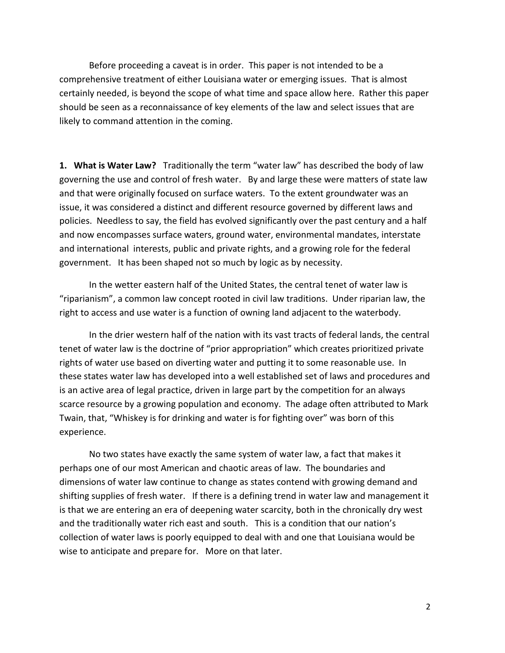Before proceeding a caveat is in order. This paper is not intended to be a comprehensive treatment of either Louisiana water or emerging issues. That is almost certainly needed, is beyond the scope of what time and space allow here. Rather this paper should be seen as a reconnaissance of key elements of the law and select issues that are likely to command attention in the coming.

**1. What is Water Law?** Traditionally the term "water law" has described the body of law governing the use and control of fresh water. By and large these were matters of state law and that were originally focused on surface waters. To the extent groundwater was an issue, it was considered a distinct and different resource governed by different laws and policies. Needless to say, the field has evolved significantly over the past century and a half and now encompasses surface waters, ground water, environmental mandates, interstate and international interests, public and private rights, and a growing role for the federal government. It has been shaped not so much by logic as by necessity.

In the wetter eastern half of the United States, the central tenet of water law is "riparianism", a common law concept rooted in civil law traditions. Under riparian law, the right to access and use water is a function of owning land adjacent to the waterbody.

In the drier western half of the nation with its vast tracts of federal lands, the central tenet of water law is the doctrine of "prior appropriation" which creates prioritized private rights of water use based on diverting water and putting it to some reasonable use. In these states water law has developed into a well established set of laws and procedures and is an active area of legal practice, driven in large part by the competition for an always scarce resource by a growing population and economy. The adage often attributed to Mark Twain, that, "Whiskey is for drinking and water is for fighting over" was born of this experience.

No two states have exactly the same system of water law, a fact that makes it perhaps one of our most American and chaotic areas of law. The boundaries and dimensions of water law continue to change as states contend with growing demand and shifting supplies of fresh water. If there is a defining trend in water law and management it is that we are entering an era of deepening water scarcity, both in the chronically dry west and the traditionally water rich east and south. This is a condition that our nation's collection of water laws is poorly equipped to deal with and one that Louisiana would be wise to anticipate and prepare for. More on that later.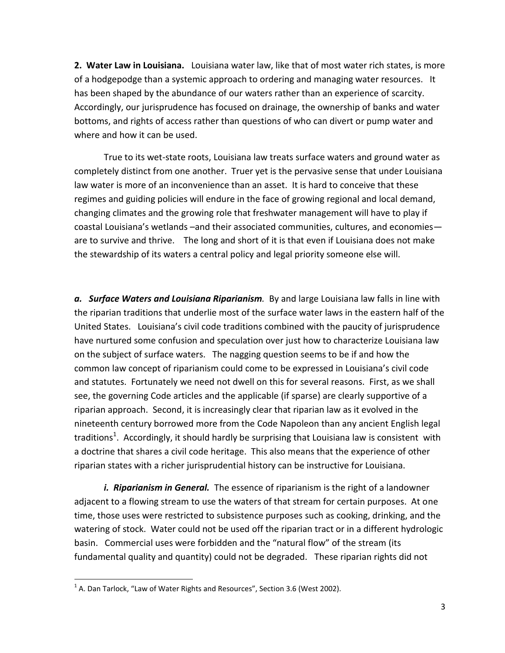**2. Water Law in Louisiana.** Louisiana water law, like that of most water rich states, is more of a hodgepodge than a systemic approach to ordering and managing water resources. It has been shaped by the abundance of our waters rather than an experience of scarcity. Accordingly, our jurisprudence has focused on drainage, the ownership of banks and water bottoms, and rights of access rather than questions of who can divert or pump water and where and how it can be used.

True to its wet-state roots, Louisiana law treats surface waters and ground water as completely distinct from one another. Truer yet is the pervasive sense that under Louisiana law water is more of an inconvenience than an asset. It is hard to conceive that these regimes and guiding policies will endure in the face of growing regional and local demand, changing climates and the growing role that freshwater management will have to play if coastal Louisiana's wetlands –and their associated communities, cultures, and economies are to survive and thrive. The long and short of it is that even if Louisiana does not make the stewardship of its waters a central policy and legal priority someone else will.

*a. Surface Waters and Louisiana Riparianism.* By and large Louisiana law falls in line with the riparian traditions that underlie most of the surface water laws in the eastern half of the United States. Louisiana's civil code traditions combined with the paucity of jurisprudence have nurtured some confusion and speculation over just how to characterize Louisiana law on the subject of surface waters. The nagging question seems to be if and how the common law concept of riparianism could come to be expressed in Louisiana's civil code and statutes. Fortunately we need not dwell on this for several reasons. First, as we shall see, the governing Code articles and the applicable (if sparse) are clearly supportive of a riparian approach. Second, it is increasingly clear that riparian law as it evolved in the nineteenth century borrowed more from the Code Napoleon than any ancient English legal traditions<sup>1</sup>. Accordingly, it should hardly be surprising that Louisiana law is consistent with a doctrine that shares a civil code heritage. This also means that the experience of other riparian states with a richer jurisprudential history can be instructive for Louisiana.

*i. Riparianism in General.* The essence of riparianism is the right of a landowner adjacent to a flowing stream to use the waters of that stream for certain purposes. At one time, those uses were restricted to subsistence purposes such as cooking, drinking, and the watering of stock. Water could not be used off the riparian tract or in a different hydrologic basin. Commercial uses were forbidden and the "natural flow" of the stream (its fundamental quality and quantity) could not be degraded. These riparian rights did not

 $^1$  A. Dan Tarlock, "Law of Water Rights and Resources", Section 3.6 (West 2002).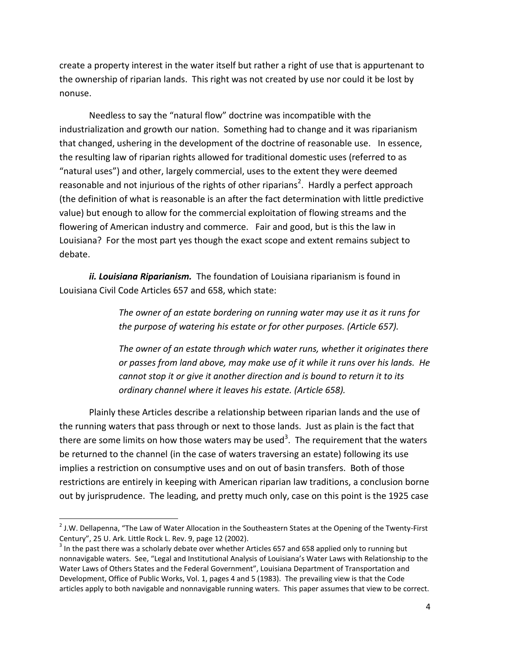create a property interest in the water itself but rather a right of use that is appurtenant to the ownership of riparian lands. This right was not created by use nor could it be lost by nonuse.

Needless to say the "natural flow" doctrine was incompatible with the industrialization and growth our nation. Something had to change and it was riparianism that changed, ushering in the development of the doctrine of reasonable use. In essence, the resulting law of riparian rights allowed for traditional domestic uses (referred to as "natural uses") and other, largely commercial, uses to the extent they were deemed reasonable and not injurious of the rights of other riparians<sup>2</sup>. Hardly a perfect approach (the definition of what is reasonable is an after the fact determination with little predictive value) but enough to allow for the commercial exploitation of flowing streams and the flowering of American industry and commerce. Fair and good, but is this the law in Louisiana? For the most part yes though the exact scope and extent remains subject to debate.

*ii. Louisiana Riparianism.* The foundation of Louisiana riparianism is found in Louisiana Civil Code Articles 657 and 658, which state:

> *The owner of an estate bordering on running water may use it as it runs for the purpose of watering his estate or for other purposes. (Article 657).*

*The owner of an estate through which water runs, whether it originates there or passes from land above, may make use of it while it runs over his lands. He cannot stop it or give it another direction and is bound to return it to its ordinary channel where it leaves his estate. (Article 658).*

Plainly these Articles describe a relationship between riparian lands and the use of the running waters that pass through or next to those lands. Just as plain is the fact that there are some limits on how those waters may be used<sup>3</sup>. The requirement that the waters be returned to the channel (in the case of waters traversing an estate) following its use implies a restriction on consumptive uses and on out of basin transfers. Both of those restrictions are entirely in keeping with American riparian law traditions, a conclusion borne out by jurisprudence. The leading, and pretty much only, case on this point is the 1925 case

 $^{2}$  J.W. Dellapenna, "The Law of Water Allocation in the Southeastern States at the Opening of the Twenty-First Century", 25 U. Ark. Little Rock L. Rev. 9, page 12 (2002).

 $^3$  In the past there was a scholarly debate over whether Articles 657 and 658 applied only to running but nonnavigable waters. See, "Legal and Institutional Analysis of Louisiana's Water Laws with Relationship to the Water Laws of Others States and the Federal Government", Louisiana Department of Transportation and Development, Office of Public Works, Vol. 1, pages 4 and 5 (1983). The prevailing view is that the Code articles apply to both navigable and nonnavigable running waters. This paper assumes that view to be correct.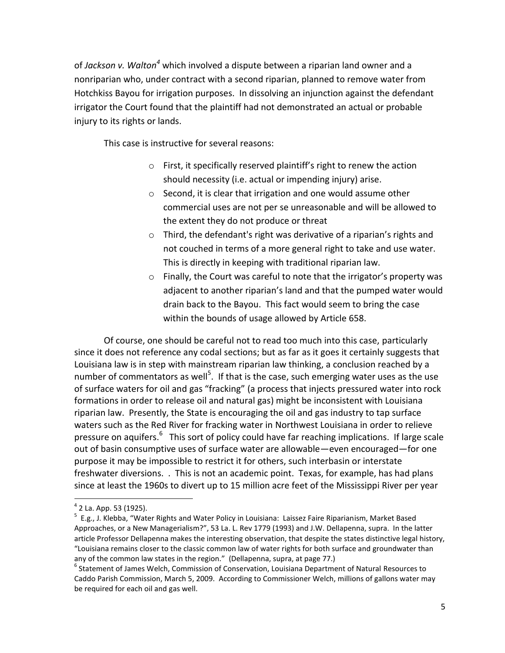of *Jackson v. Walton<sup>4</sup>* which involved a dispute between a riparian land owner and a nonriparian who, under contract with a second riparian, planned to remove water from Hotchkiss Bayou for irrigation purposes. In dissolving an injunction against the defendant irrigator the Court found that the plaintiff had not demonstrated an actual or probable injury to its rights or lands.

This case is instructive for several reasons:

- o First, it specifically reserved plaintiff's right to renew the action should necessity (i.e. actual or impending injury) arise.
- o Second, it is clear that irrigation and one would assume other commercial uses are not per se unreasonable and will be allowed to the extent they do not produce or threat
- o Third, the defendant's right was derivative of a riparian's rights and not couched in terms of a more general right to take and use water. This is directly in keeping with traditional riparian law.
- o Finally, the Court was careful to note that the irrigator's property was adjacent to another riparian's land and that the pumped water would drain back to the Bayou. This fact would seem to bring the case within the bounds of usage allowed by Article 658.

Of course, one should be careful not to read too much into this case, particularly since it does not reference any codal sections; but as far as it goes it certainly suggests that Louisiana law is in step with mainstream riparian law thinking, a conclusion reached by a number of commentators as well<sup>5</sup>. If that is the case, such emerging water uses as the use of surface waters for oil and gas "fracking" (a process that injects pressured water into rock formations in order to release oil and natural gas) might be inconsistent with Louisiana riparian law. Presently, the State is encouraging the oil and gas industry to tap surface waters such as the Red River for fracking water in Northwest Louisiana in order to relieve pressure on aquifers.<sup>6</sup> This sort of policy could have far reaching implications. If large scale out of basin consumptive uses of surface water are allowable—even encouraged—for one purpose it may be impossible to restrict it for others, such interbasin or interstate freshwater diversions. . This is not an academic point. Texas, for example, has had plans since at least the 1960s to divert up to 15 million acre feet of the Mississippi River per year

<sup>4</sup> 2 La. App. 53 (1925).

<sup>&</sup>lt;sup>5</sup> E.g., J. Klebba, "Water Rights and Water Policy in Louisiana: Laissez Faire Riparianism, Market Based Approaches, or a New Managerialism?", 53 La. L. Rev 1779 (1993) and J.W. Dellapenna, supra. In the latter article Professor Dellapenna makes the interesting observation, that despite the states distinctive legal history, "Louisiana remains closer to the classic common law of water rights for both surface and groundwater than any of the common law states in the region." (Dellapenna, supra, at page 77.)

<sup>&</sup>lt;sup>6</sup> Statement of James Welch, Commission of Conservation, Louisiana Department of Natural Resources to Caddo Parish Commission, March 5, 2009. According to Commissioner Welch, millions of gallons water may be required for each oil and gas well.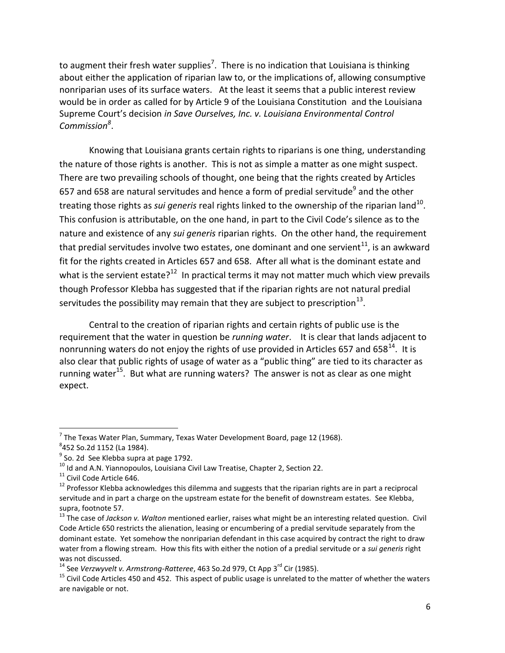to augment their fresh water supplies<sup>7</sup>. There is no indication that Louisiana is thinking about either the application of riparian law to, or the implications of, allowing consumptive nonriparian uses of its surface waters. At the least it seems that a public interest review would be in order as called for by Article 9 of the Louisiana Constitution and the Louisiana Supreme Court's decision *in Save Ourselves, Inc. v. Louisiana Environmental Control Commission<sup>8</sup>* .

Knowing that Louisiana grants certain rights to riparians is one thing, understanding the nature of those rights is another. This is not as simple a matter as one might suspect. There are two prevailing schools of thought, one being that the rights created by Articles 657 and 658 are natural servitudes and hence a form of predial servitude<sup>9</sup> and the other treating those rights as *sui generis* real rights linked to the ownership of the riparian land<sup>10</sup>. This confusion is attributable, on the one hand, in part to the Civil Code's silence as to the nature and existence of any *sui generis* riparian rights. On the other hand, the requirement that predial servitudes involve two estates, one dominant and one servient<sup>11</sup>, is an awkward fit for the rights created in Articles 657 and 658. After all what is the dominant estate and what is the servient estate?<sup>12</sup> In practical terms it may not matter much which view prevails though Professor Klebba has suggested that if the riparian rights are not natural predial servitudes the possibility may remain that they are subject to prescription<sup>13</sup>.

Central to the creation of riparian rights and certain rights of public use is the requirement that the water in question be *running water*. It is clear that lands adjacent to nonrunning waters do not enjoy the rights of use provided in Articles 657 and 658 $^{14}$ . It is also clear that public rights of usage of water as a "public thing" are tied to its character as running water<sup>15</sup>. But what are running waters? The answer is not as clear as one might expect.

l

 $^7$  The Texas Water Plan, Summary, Texas Water Development Board, page 12 (1968).

<sup>8</sup> 452 So.2d 1152 (La 1984).

<sup>&</sup>lt;sup>9</sup> So. 2d See Klebba supra at page 1792.

 $^{10}$  Id and A.N. Yiannopoulos, Louisiana Civil Law Treatise, Chapter 2, Section 22.

<sup>&</sup>lt;sup>11</sup> Civil Code Article 646.

 $12$  Professor Klebba acknowledges this dilemma and suggests that the riparian rights are in part a reciprocal servitude and in part a charge on the upstream estate for the benefit of downstream estates. See Klebba, supra, footnote 57.

<sup>13</sup> The case of *Jackson v. Walton* mentioned earlier, raises what might be an interesting related question. Civil Code Article 650 restricts the alienation, leasing or encumbering of a predial servitude separately from the dominant estate. Yet somehow the nonriparian defendant in this case acquired by contract the right to draw water from a flowing stream. How this fits with either the notion of a predial servitude or a *sui generis* right was not discussed.

<sup>&</sup>lt;sup>14</sup> See *Verzwyvelt v. Armstrong-Ratteree*, 463 So.2d 979, Ct App 3<sup>rd</sup> Cir (1985).

 $15$  Civil Code Articles 450 and 452. This aspect of public usage is unrelated to the matter of whether the waters are navigable or not.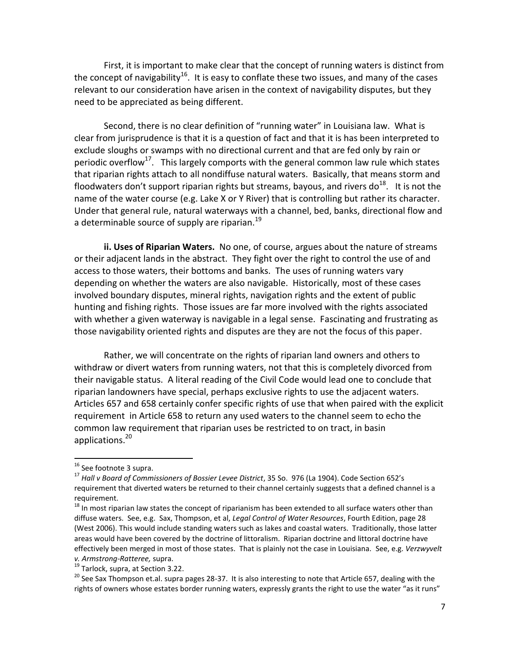First, it is important to make clear that the concept of running waters is distinct from the concept of navigability<sup>16</sup>. It is easy to conflate these two issues, and many of the cases relevant to our consideration have arisen in the context of navigability disputes, but they need to be appreciated as being different.

Second, there is no clear definition of "running water" in Louisiana law. What is clear from jurisprudence is that it is a question of fact and that it is has been interpreted to exclude sloughs or swamps with no directional current and that are fed only by rain or periodic overflow<sup>17</sup>. This largely comports with the general common law rule which states that riparian rights attach to all nondiffuse natural waters. Basically, that means storm and floodwaters don't support riparian rights but streams, bayous, and rivers do $^{18}$ . It is not the name of the water course (e.g. Lake X or Y River) that is controlling but rather its character. Under that general rule, natural waterways with a channel, bed, banks, directional flow and a determinable source of supply are riparian.<sup>19</sup>

**ii. Uses of Riparian Waters.** No one, of course, argues about the nature of streams or their adjacent lands in the abstract. They fight over the right to control the use of and access to those waters, their bottoms and banks. The uses of running waters vary depending on whether the waters are also navigable. Historically, most of these cases involved boundary disputes, mineral rights, navigation rights and the extent of public hunting and fishing rights. Those issues are far more involved with the rights associated with whether a given waterway is navigable in a legal sense. Fascinating and frustrating as those navigability oriented rights and disputes are they are not the focus of this paper.

Rather, we will concentrate on the rights of riparian land owners and others to withdraw or divert waters from running waters, not that this is completely divorced from their navigable status. A literal reading of the Civil Code would lead one to conclude that riparian landowners have special, perhaps exclusive rights to use the adjacent waters. Articles 657 and 658 certainly confer specific rights of use that when paired with the explicit requirement in Article 658 to return any used waters to the channel seem to echo the common law requirement that riparian uses be restricted to on tract, in basin applications.<sup>20</sup>

 $\overline{a}$ 

<sup>&</sup>lt;sup>16</sup> See footnote 3 supra.

<sup>17</sup> *Hall v Board of Commissioners of Bossier Levee District*, 35 So. 976 (La 1904). Code Section 652's requirement that diverted waters be returned to their channel certainly suggests that a defined channel is a requirement.

<sup>&</sup>lt;sup>18</sup> In most riparian law states the concept of riparianism has been extended to all surface waters other than diffuse waters. See, e.g. Sax, Thompson, et al, *Legal Control of Water Resources*, Fourth Edition, page 28 (West 2006). This would include standing waters such as lakes and coastal waters. Traditionally, those latter areas would have been covered by the doctrine of littoralism. Riparian doctrine and littoral doctrine have effectively been merged in most of those states. That is plainly not the case in Louisiana. See, e.g. *Verzwyvelt v. Armstrong-Ratteree,* supra.

<sup>&</sup>lt;sup>19</sup> Tarlock, supra, at Section 3.22.

<sup>&</sup>lt;sup>20</sup> See Sax Thompson et.al. supra pages 28-37. It is also interesting to note that Article 657, dealing with the rights of owners whose estates border running waters, expressly grants the right to use the water "as it runs"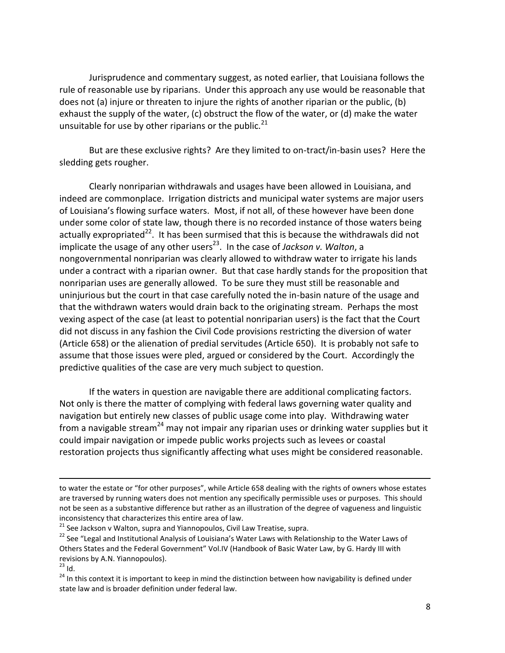Jurisprudence and commentary suggest, as noted earlier, that Louisiana follows the rule of reasonable use by riparians. Under this approach any use would be reasonable that does not (a) injure or threaten to injure the rights of another riparian or the public, (b) exhaust the supply of the water, (c) obstruct the flow of the water, or (d) make the water unsuitable for use by other riparians or the public. $^{21}$ 

But are these exclusive rights? Are they limited to on-tract/in-basin uses? Here the sledding gets rougher.

Clearly nonriparian withdrawals and usages have been allowed in Louisiana, and indeed are commonplace. Irrigation districts and municipal water systems are major users of Louisiana's flowing surface waters. Most, if not all, of these however have been done under some color of state law, though there is no recorded instance of those waters being actually expropriated<sup>22</sup>. It has been surmised that this is because the withdrawals did not implicate the usage of any other users<sup>23</sup>. In the case of *Jackson v. Walton*, a nongovernmental nonriparian was clearly allowed to withdraw water to irrigate his lands under a contract with a riparian owner. But that case hardly stands for the proposition that nonriparian uses are generally allowed. To be sure they must still be reasonable and uninjurious but the court in that case carefully noted the in-basin nature of the usage and that the withdrawn waters would drain back to the originating stream. Perhaps the most vexing aspect of the case (at least to potential nonriparian users) is the fact that the Court did not discuss in any fashion the Civil Code provisions restricting the diversion of water (Article 658) or the alienation of predial servitudes (Article 650). It is probably not safe to assume that those issues were pled, argued or considered by the Court. Accordingly the predictive qualities of the case are very much subject to question.

If the waters in question are navigable there are additional complicating factors. Not only is there the matter of complying with federal laws governing water quality and navigation but entirely new classes of public usage come into play. Withdrawing water from a navigable stream<sup>24</sup> may not impair any riparian uses or drinking water supplies but it could impair navigation or impede public works projects such as levees or coastal restoration projects thus significantly affecting what uses might be considered reasonable.

 $\overline{a}$ 

to water the estate or "for other purposes", while Article 658 dealing with the rights of owners whose estates are traversed by running waters does not mention any specifically permissible uses or purposes. This should not be seen as a substantive difference but rather as an illustration of the degree of vagueness and linguistic inconsistency that characterizes this entire area of law.

 $21$  See Jackson v Walton, supra and Yiannopoulos, Civil Law Treatise, supra.

<sup>&</sup>lt;sup>22</sup> See "Legal and Institutional Analysis of Louisiana's Water Laws with Relationship to the Water Laws of Others States and the Federal Government" Vol.IV (Handbook of Basic Water Law, by G. Hardy III with revisions by A.N. Yiannopoulos).

 $23$  Id.

<sup>&</sup>lt;sup>24</sup> In this context it is important to keep in mind the distinction between how navigability is defined under state law and is broader definition under federal law.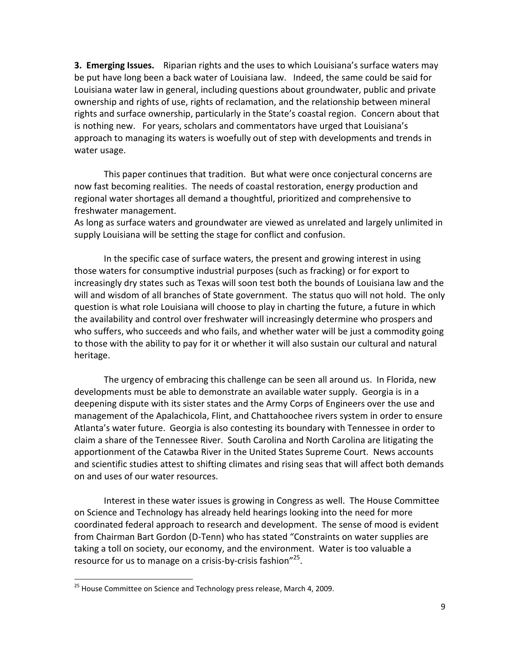**3. Emerging Issues.** Riparian rights and the uses to which Louisiana's surface waters may be put have long been a back water of Louisiana law. Indeed, the same could be said for Louisiana water law in general, including questions about groundwater, public and private ownership and rights of use, rights of reclamation, and the relationship between mineral rights and surface ownership, particularly in the State's coastal region. Concern about that is nothing new. For years, scholars and commentators have urged that Louisiana's approach to managing its waters is woefully out of step with developments and trends in water usage.

This paper continues that tradition. But what were once conjectural concerns are now fast becoming realities. The needs of coastal restoration, energy production and regional water shortages all demand a thoughtful, prioritized and comprehensive to freshwater management.

As long as surface waters and groundwater are viewed as unrelated and largely unlimited in supply Louisiana will be setting the stage for conflict and confusion.

In the specific case of surface waters, the present and growing interest in using those waters for consumptive industrial purposes (such as fracking) or for export to increasingly dry states such as Texas will soon test both the bounds of Louisiana law and the will and wisdom of all branches of State government. The status quo will not hold. The only question is what role Louisiana will choose to play in charting the future, a future in which the availability and control over freshwater will increasingly determine who prospers and who suffers, who succeeds and who fails, and whether water will be just a commodity going to those with the ability to pay for it or whether it will also sustain our cultural and natural heritage.

The urgency of embracing this challenge can be seen all around us. In Florida, new developments must be able to demonstrate an available water supply. Georgia is in a deepening dispute with its sister states and the Army Corps of Engineers over the use and management of the Apalachicola, Flint, and Chattahoochee rivers system in order to ensure Atlanta's water future. Georgia is also contesting its boundary with Tennessee in order to claim a share of the Tennessee River. South Carolina and North Carolina are litigating the apportionment of the Catawba River in the United States Supreme Court. News accounts and scientific studies attest to shifting climates and rising seas that will affect both demands on and uses of our water resources.

Interest in these water issues is growing in Congress as well. The House Committee on Science and Technology has already held hearings looking into the need for more coordinated federal approach to research and development. The sense of mood is evident from Chairman Bart Gordon (D-Tenn) who has stated "Constraints on water supplies are taking a toll on society, our economy, and the environment. Water is too valuable a resource for us to manage on a crisis-by-crisis fashion"<sup>25</sup>.

<sup>&</sup>lt;sup>25</sup> House Committee on Science and Technology press release, March 4, 2009.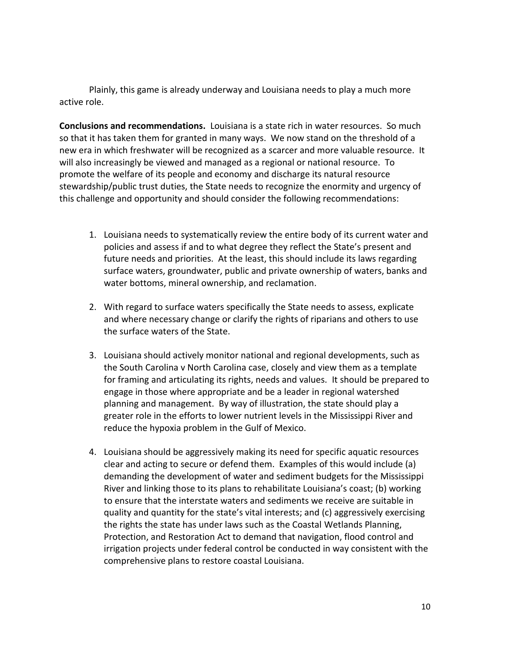Plainly, this game is already underway and Louisiana needs to play a much more active role.

**Conclusions and recommendations.** Louisiana is a state rich in water resources. So much so that it has taken them for granted in many ways. We now stand on the threshold of a new era in which freshwater will be recognized as a scarcer and more valuable resource. It will also increasingly be viewed and managed as a regional or national resource. To promote the welfare of its people and economy and discharge its natural resource stewardship/public trust duties, the State needs to recognize the enormity and urgency of this challenge and opportunity and should consider the following recommendations:

- 1. Louisiana needs to systematically review the entire body of its current water and policies and assess if and to what degree they reflect the State's present and future needs and priorities. At the least, this should include its laws regarding surface waters, groundwater, public and private ownership of waters, banks and water bottoms, mineral ownership, and reclamation.
- 2. With regard to surface waters specifically the State needs to assess, explicate and where necessary change or clarify the rights of riparians and others to use the surface waters of the State.
- 3. Louisiana should actively monitor national and regional developments, such as the South Carolina v North Carolina case, closely and view them as a template for framing and articulating its rights, needs and values. It should be prepared to engage in those where appropriate and be a leader in regional watershed planning and management. By way of illustration, the state should play a greater role in the efforts to lower nutrient levels in the Mississippi River and reduce the hypoxia problem in the Gulf of Mexico.
- 4. Louisiana should be aggressively making its need for specific aquatic resources clear and acting to secure or defend them. Examples of this would include (a) demanding the development of water and sediment budgets for the Mississippi River and linking those to its plans to rehabilitate Louisiana's coast; (b) working to ensure that the interstate waters and sediments we receive are suitable in quality and quantity for the state's vital interests; and (c) aggressively exercising the rights the state has under laws such as the Coastal Wetlands Planning, Protection, and Restoration Act to demand that navigation, flood control and irrigation projects under federal control be conducted in way consistent with the comprehensive plans to restore coastal Louisiana.